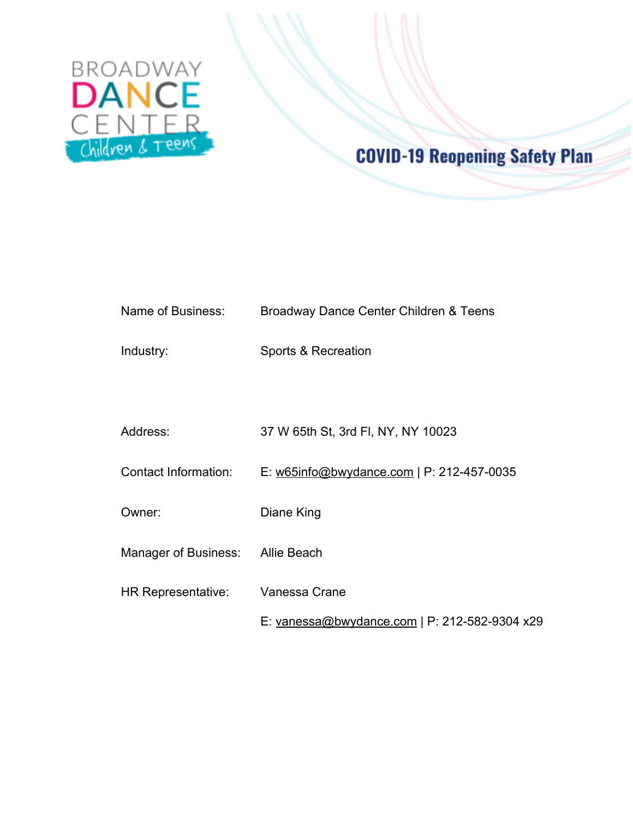

| Name of Business:                | Broadway Dance Center Children & Teens         |
|----------------------------------|------------------------------------------------|
| Industry:                        | Sports & Recreation                            |
|                                  |                                                |
| Address:                         | 37 W 65th St, 3rd FI, NY, NY 10023             |
| Contact Information:             | E: w65info@bwydance.com   P: 212-457-0035      |
| Owner:                           | Diane King                                     |
| Manager of Business: Allie Beach |                                                |
| HR Representative:               | Vanessa Crane                                  |
|                                  | E: $vanesa@bwydance.com$   P: 212-582-9304 x29 |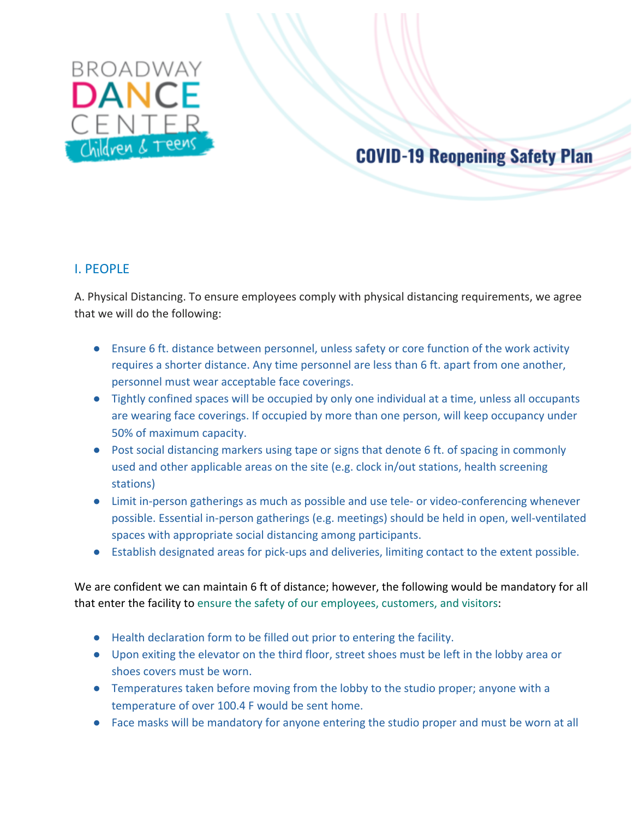

#### I. PEOPLE

A. Physical Distancing. To ensure employees comply with physical distancing requirements, we agree that we will do the following:

- Ensure 6 ft. distance between personnel, unless safety or core function of the work activity requires a shorter distance. Any time personnel are less than 6 ft. apart from one another, personnel must wear acceptable face coverings.
- Tightly confined spaces will be occupied by only one individual at a time, unless all occupants are wearing face coverings. If occupied by more than one person, will keep occupancy under 50% of maximum capacity.
- Post social distancing markers using tape or signs that denote 6 ft. of spacing in commonly used and other applicable areas on the site (e.g. clock in/out stations, health screening stations)
- Limit in-person gatherings as much as possible and use tele- or video-conferencing whenever possible. Essential in-person gatherings (e.g. meetings) should be held in open, well-ventilated spaces with appropriate social distancing among participants.
- Establish designated areas for pick-ups and deliveries, limiting contact to the extent possible.

We are confident we can maintain 6 ft of distance; however, the following would be mandatory for all that enter the facility to ensure the safety of our employees, customers, and visitors:

- Health declaration form to be filled out prior to entering the facility.
- Upon exiting the elevator on the third floor, street shoes must be left in the lobby area or shoes covers must be worn.
- Temperatures taken before moving from the lobby to the studio proper; anyone with a temperature of over 100.4 F would be sent home.
- Face masks will be mandatory for anyone entering the studio proper and must be worn at all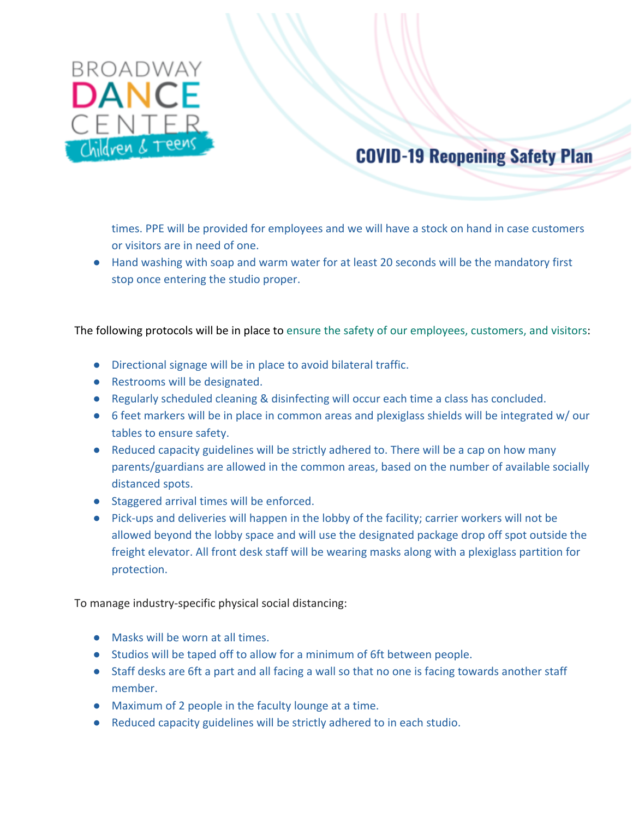

times. PPE will be provided for employees and we will have a stock on hand in case customers or visitors are in need of one.

● Hand washing with soap and warm water for at least 20 seconds will be the mandatory first stop once entering the studio proper.

The following protocols will be in place to ensure the safety of our employees, customers, and visitors:

- Directional signage will be in place to avoid bilateral traffic.
- Restrooms will be designated.
- Regularly scheduled cleaning & disinfecting will occur each time a class has concluded.
- 6 feet markers will be in place in common areas and plexiglass shields will be integrated w/ our tables to ensure safety.
- Reduced capacity guidelines will be strictly adhered to. There will be a cap on how many parents/guardians are allowed in the common areas, based on the number of available socially distanced spots.
- Staggered arrival times will be enforced.
- Pick-ups and deliveries will happen in the lobby of the facility; carrier workers will not be allowed beyond the lobby space and will use the designated package drop off spot outside the freight elevator. All front desk staff will be wearing masks along with a plexiglass partition for protection.

To manage industry-specific physical social distancing:

- Masks will be worn at all times.
- Studios will be taped off to allow for a minimum of 6ft between people.
- Staff desks are 6ft a part and all facing a wall so that no one is facing towards another staff member.
- Maximum of 2 people in the faculty lounge at a time.
- Reduced capacity guidelines will be strictly adhered to in each studio.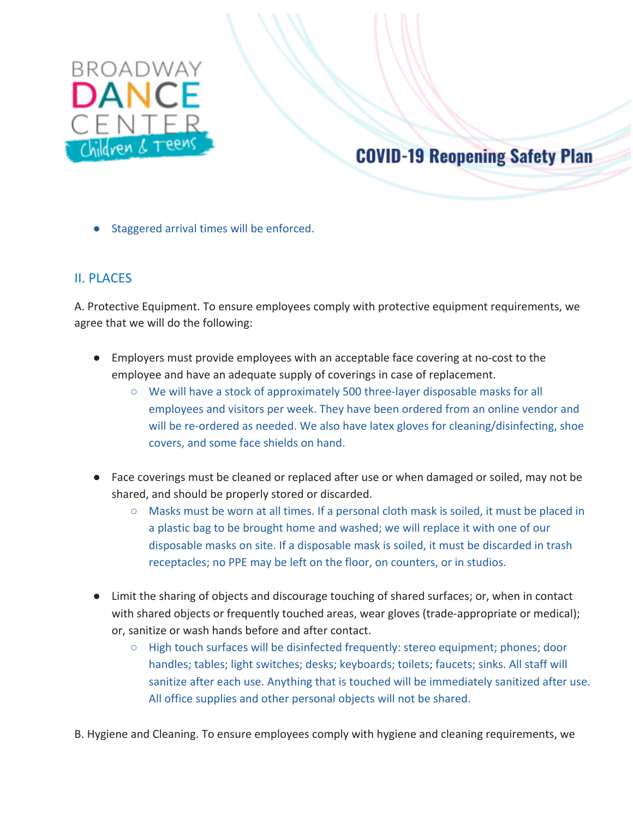

● Staggered arrival times will be enforced.

#### II. PLACES

A. Protective Equipment. To ensure employees comply with protective equipment requirements, we agree that we will do the following:

- Employers must provide employees with an acceptable face covering at no-cost to the employee and have an adequate supply of coverings in case of replacement.
	- We will have a stock of approximately 500 three-layer disposable masks for all employees and visitors per week. They have been ordered from an online vendor and will be re-ordered as needed. We also have latex gloves for cleaning/disinfecting, shoe covers, and some face shields on hand.
- Face coverings must be cleaned or replaced after use or when damaged or soiled, may not be shared, and should be properly stored or discarded.
	- Masks must be worn at all times. If a personal cloth mask is soiled, it must be placed in a plastic bag to be brought home and washed; we will replace it with one of our disposable masks on site. If a disposable mask is soiled, it must be discarded in trash receptacles; no PPE may be left on the floor, on counters, or in studios.
- Limit the sharing of objects and discourage touching of shared surfaces; or, when in contact with shared objects or frequently touched areas, wear gloves (trade-appropriate or medical); or, sanitize or wash hands before and after contact.
	- High touch surfaces will be disinfected frequently: stereo equipment; phones; door handles; tables; light switches; desks; keyboards; toilets; faucets; sinks. All staff will sanitize after each use. Anything that is touched will be immediately sanitized after use. All office supplies and other personal objects will not be shared.
- B. Hygiene and Cleaning. To ensure employees comply with hygiene and cleaning requirements, we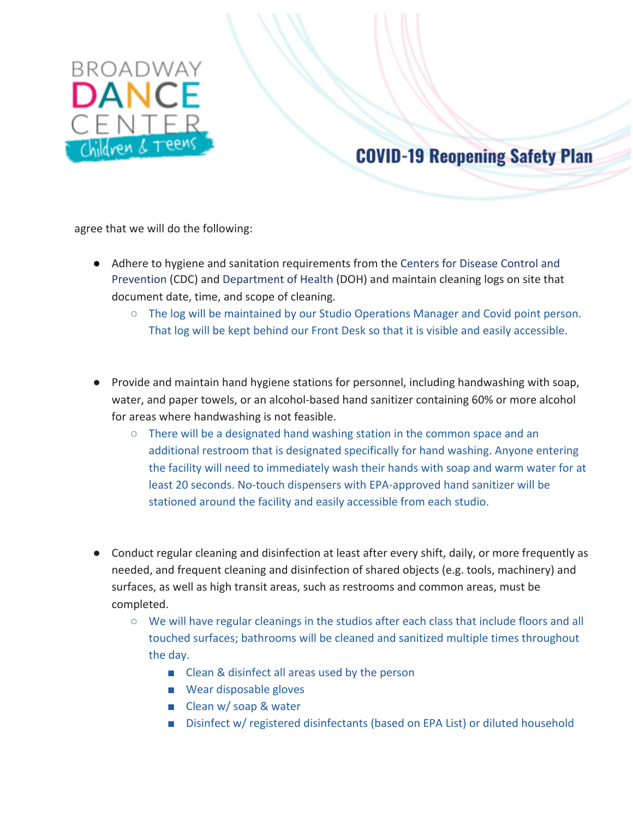

agree that we will do the following:

- Adhere to hygiene and sanitation requirements from the Centers for Disease Control and Prevention (CDC) and Department of Health (DOH) and maintain cleaning logs on site that document date, time, and scope of cleaning.
	- The log will be maintained by our Studio Operations Manager and Covid point person. That log will be kept behind our Front Desk so that it is visible and easily accessible.
- Provide and maintain hand hygiene stations for personnel, including handwashing with soap, water, and paper towels, or an alcohol-based hand sanitizer containing 60% or more alcohol for areas where handwashing is not feasible.
	- $\circ$  There will be a designated hand washing station in the common space and an additional restroom that is designated specifically for hand washing. Anyone entering the facility will need to immediately wash their hands with soap and warm water for at least 20 seconds. No-touch dispensers with EPA-approved hand sanitizer will be stationed around the facility and easily accessible from each studio.
- Conduct regular cleaning and disinfection at least after every shift, daily, or more frequently as needed, and frequent cleaning and disinfection of shared objects (e.g. tools, machinery) and surfaces, as well as high transit areas, such as restrooms and common areas, must be completed.
	- We will have regular cleanings in the studios after each class that include floors and all touched surfaces; bathrooms will be cleaned and sanitized multiple times throughout the day.
		- Clean & disinfect all areas used by the person
		- Wear disposable gloves
		- Clean w/ soap & water
		- Disinfect w/ registered disinfectants (based on EPA List) or diluted household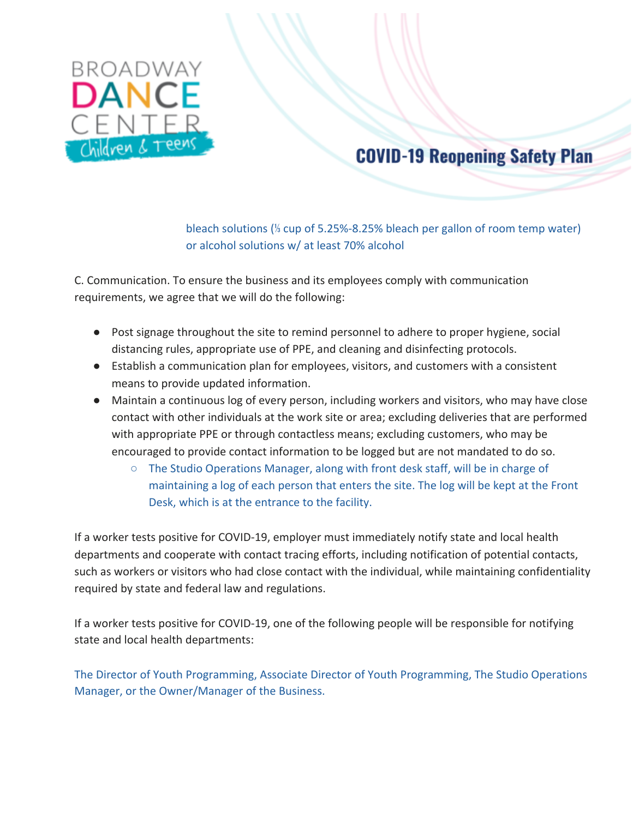

bleach solutions (⅓ cup of 5.25%-8.25% bleach per gallon of room temp water) or alcohol solutions w/ at least 70% alcohol

C. Communication. To ensure the business and its employees comply with communication requirements, we agree that we will do the following:

- Post signage throughout the site to remind personnel to adhere to proper hygiene, social distancing rules, appropriate use of PPE, and cleaning and disinfecting protocols.
- Establish a communication plan for employees, visitors, and customers with a consistent means to provide updated information.
- Maintain a continuous log of every person, including workers and visitors, who may have close contact with other individuals at the work site or area; excluding deliveries that are performed with appropriate PPE or through contactless means; excluding customers, who may be encouraged to provide contact information to be logged but are not mandated to do so.
	- The Studio Operations Manager, along with front desk staff, will be in charge of maintaining a log of each person that enters the site. The log will be kept at the Front Desk, which is at the entrance to the facility.

If a worker tests positive for COVID-19, employer must immediately notify state and local health departments and cooperate with contact tracing efforts, including notification of potential contacts, such as workers or visitors who had close contact with the individual, while maintaining confidentiality required by state and federal law and regulations.

If a worker tests positive for COVID-19, one of the following people will be responsible for notifying state and local health departments:

The Director of Youth Programming, Associate Director of Youth Programming, The Studio Operations Manager, or the Owner/Manager of the Business.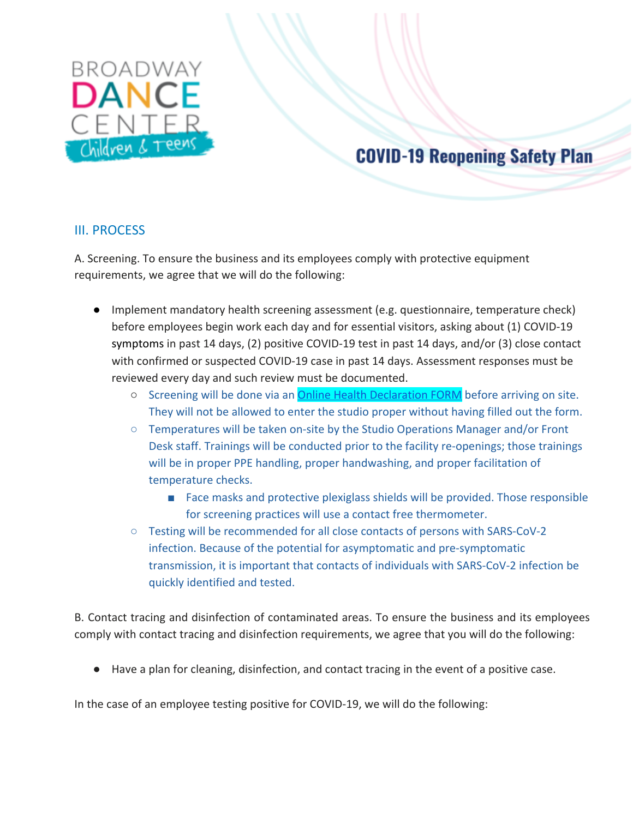

#### III. PROCESS

A. Screening. To ensure the business and its employees comply with protective equipment requirements, we agree that we will do the following:

- Implement mandatory health screening assessment (e.g. questionnaire, temperature check) before employees begin work each day and for essential visitors, asking about (1) COVID-19 symptoms in past 14 days, (2) positive COVID-19 test in past 14 days, and/or (3) close contact with confirmed or suspected COVID-19 case in past 14 days. Assessment responses must be reviewed every day and such review must be documented.
	- Screening will be done via an **[Online Health Declaration FORM](https://docs.google.com/forms/d/e/1FAIpQLSdKKObrpmw-E5aKqSMewRjFiuEuLy3UmBSbpRDO1k77W-yROw/viewform?usp=sf_link)** before arriving on site. They will not be allowed to enter the studio proper without having filled out the form.
	- Temperatures will be taken on-site by the Studio Operations Manager and/or Front Desk staff. Trainings will be conducted prior to the facility re-openings; those trainings will be in proper PPE handling, proper handwashing, and proper facilitation of temperature checks.
		- Face masks and protective plexiglass shields will be provided. Those responsible for screening practices will use a contact free thermometer.
	- Testing will be recommended for all close contacts of persons with SARS-CoV-2 infection. Because of the potential for asymptomatic and pre-symptomatic transmission, it is important that contacts of individuals with SARS-CoV-2 infection be quickly identified and tested.

B. Contact tracing and disinfection of contaminated areas. To ensure the business and its employees comply with contact tracing and disinfection requirements, we agree that you will do the following:

● Have a plan for cleaning, disinfection, and contact tracing in the event of a positive case.

In the case of an employee testing positive for COVID-19, we will do the following: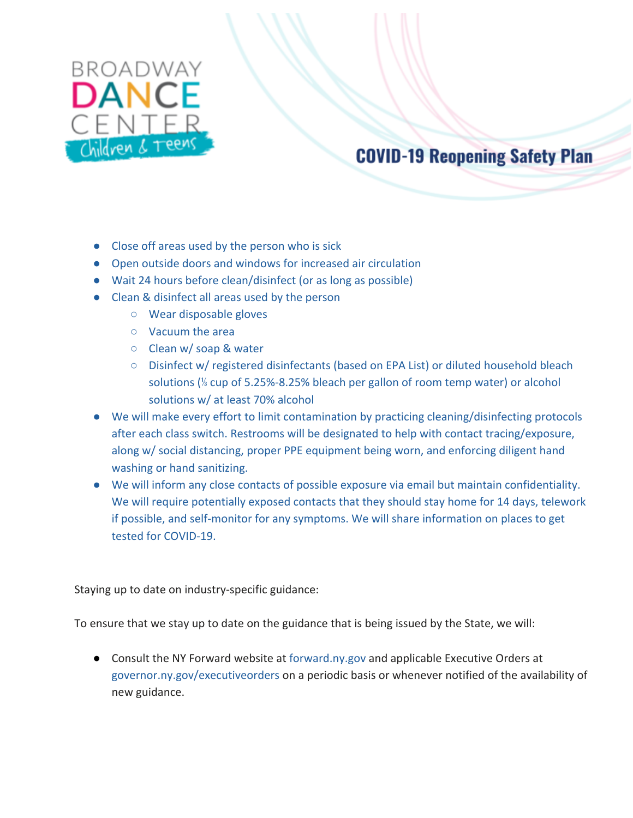

- Close off areas used by the person who is sick
- Open outside doors and windows for increased air circulation
- Wait 24 hours before clean/disinfect (or as long as possible)
- Clean & disinfect all areas used by the person
	- Wear disposable gloves
	- Vacuum the area
	- Clean w/ soap & water
	- Disinfect w/ registered disinfectants (based on EPA List) or diluted household bleach solutions (⅓ cup of 5.25%-8.25% bleach per gallon of room temp water) or alcohol solutions w/ at least 70% alcohol
- We will make every effort to limit contamination by practicing cleaning/disinfecting protocols after each class switch. Restrooms will be designated to help with contact tracing/exposure, along w/ social distancing, proper PPE equipment being worn, and enforcing diligent hand washing or hand sanitizing.
- We will inform any close contacts of possible exposure via email but maintain confidentiality. We will require potentially exposed contacts that they should stay home for 14 days, telework if possible, and self-monitor for any symptoms. We will share information on places to get tested for COVID-19.

Staying up to date on industry-specific guidance:

To ensure that we stay up to date on the guidance that is being issued by the State, we will:

● Consult the NY Forward website at forward.ny.gov and applicable Executive Orders at governor.ny.gov/executiveorders on a periodic basis or whenever notified of the availability of new guidance.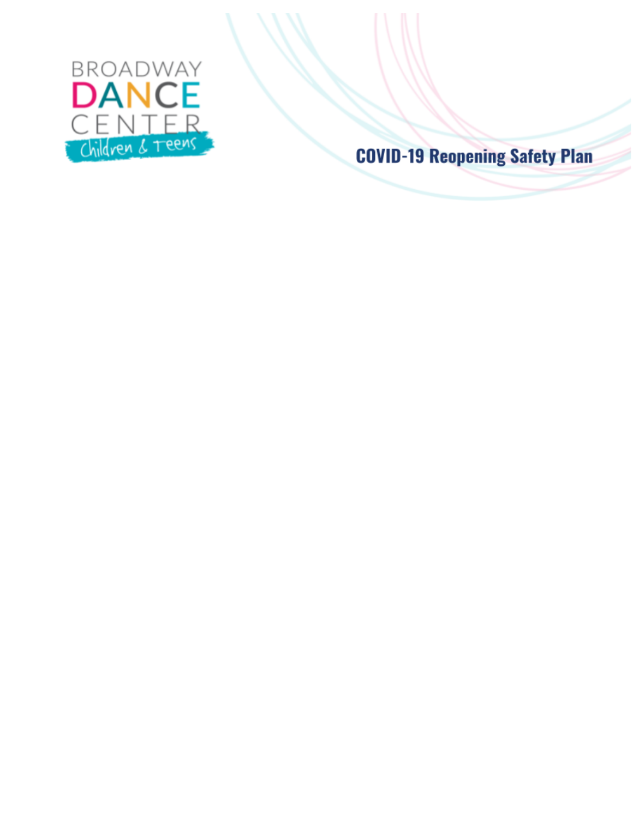